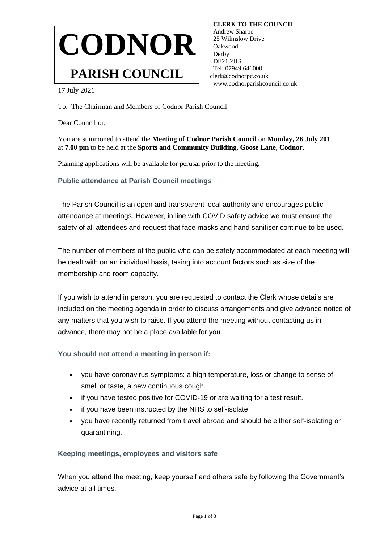

 **CLERK TO THE COUNCIL** Andrew Sharpe 25 Wilmslow Drive Oakwood Derby DE21 2HR Tel: 07949 646000 clerk@codnorpc.co.uk www.codnorparishcouncil.co.uk

17 July 2021

To: The Chairman and Members of Codnor Parish Council

Dear Councillor,

You are summoned to attend the **Meeting of Codnor Parish Council** on **Monday, 26 July 201** at **7.00 pm** to be held at the **Sports and Community Building, Goose Lane, Codnor**.

Planning applications will be available for perusal prior to the meeting.

**Public attendance at Parish Council meetings**

The Parish Council is an open and transparent local authority and encourages public attendance at meetings. However, in line with COVID safety advice we must ensure the safety of all attendees and request that face masks and hand sanitiser continue to be used.

The number of members of the public who can be safely accommodated at each meeting will be dealt with on an individual basis, taking into account factors such as size of the membership and room capacity.

If you wish to attend in person, you are requested to contact the Clerk whose details are included on the meeting agenda in order to discuss arrangements and give advance notice of any matters that you wish to raise. If you attend the meeting without contacting us in advance, there may not be a place available for you.

**You should not attend a meeting in person if:**

- you have coronavirus symptoms: a high temperature, loss or change to sense of smell or taste, a new continuous cough.
- if you have tested positive for COVID-19 or are waiting for a test result.
- if you have been instructed by the NHS to self-isolate.
- you have recently returned from travel abroad and should be either self-isolating or quarantining.

## **Keeping meetings, employees and visitors safe**

When you attend the meeting, keep yourself and others safe by following the Government's advice at all times.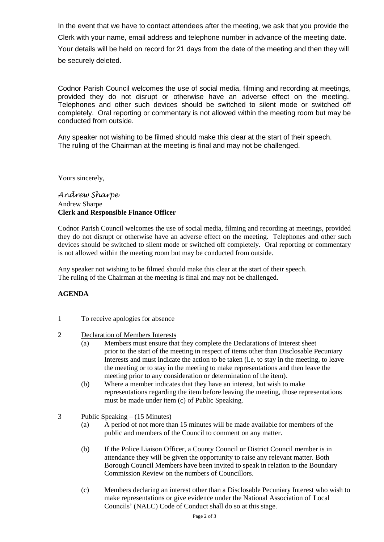In the event that we have to contact attendees after the meeting, we ask that you provide the Clerk with your name, email address and telephone number in advance of the meeting date. Your details will be held on record for 21 days from the date of the meeting and then they will be securely deleted.

Codnor Parish Council welcomes the use of social media, filming and recording at meetings, provided they do not disrupt or otherwise have an adverse effect on the meeting. Telephones and other such devices should be switched to silent mode or switched off completely. Oral reporting or commentary is not allowed within the meeting room but may be conducted from outside.

Any speaker not wishing to be filmed should make this clear at the start of their speech. The ruling of the Chairman at the meeting is final and may not be challenged.

Yours sincerely,

## *Andrew Sharpe* Andrew Sharpe **Clerk and Responsible Finance Officer**

Codnor Parish Council welcomes the use of social media, filming and recording at meetings, provided they do not disrupt or otherwise have an adverse effect on the meeting. Telephones and other such devices should be switched to silent mode or switched off completely. Oral reporting or commentary is not allowed within the meeting room but may be conducted from outside.

Any speaker not wishing to be filmed should make this clear at the start of their speech. The ruling of the Chairman at the meeting is final and may not be challenged.

## **AGENDA**

## 1 To receive apologies for absence

- 2 Declaration of Members Interests
	- (a) Members must ensure that they complete the Declarations of Interest sheet prior to the start of the meeting in respect of items other than Disclosable Pecuniary Interests and must indicate the action to be taken (i.e. to stay in the meeting, to leave the meeting or to stay in the meeting to make representations and then leave the meeting prior to any consideration or determination of the item).
	- (b) Where a member indicates that they have an interest, but wish to make representations regarding the item before leaving the meeting, those representations must be made under item (c) of Public Speaking.
- 3 Public Speaking (15 Minutes)
	- (a) A period of not more than 15 minutes will be made available for members of the public and members of the Council to comment on any matter.
	- (b) If the Police Liaison Officer, a County Council or District Council member is in attendance they will be given the opportunity to raise any relevant matter. Both Borough Council Members have been invited to speak in relation to the Boundary Commission Review on the numbers of Councillors.
	- (c) Members declaring an interest other than a Disclosable Pecuniary Interest who wish to make representations or give evidence under the National Association of Local Councils' (NALC) Code of Conduct shall do so at this stage.